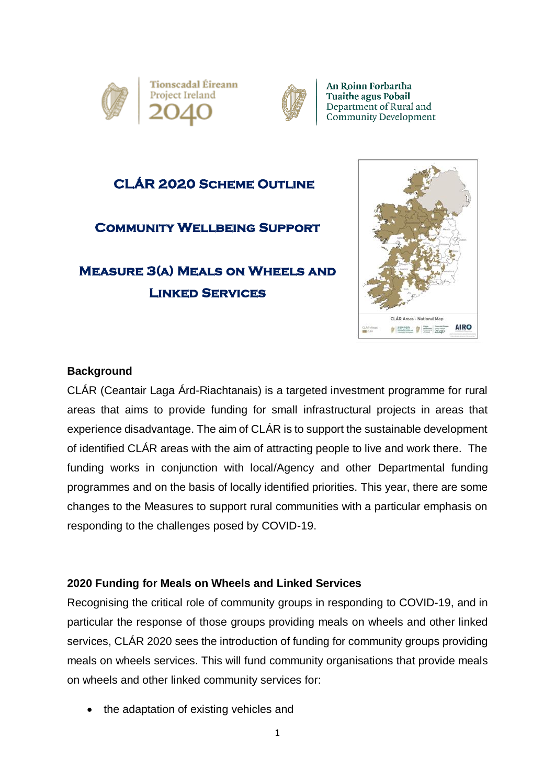



An Roinn Forbartha **Tuaithe agus Pobail** Department of Rural and Community Development

### **CLÁR 2020 Scheme Outline**

### **Community Wellbeing Support**

# **Measure 3(a) Meals on Wheels and Linked Services**



#### **Background**

CLÁR (Ceantair Laga Árd-Riachtanais) is a targeted investment programme for rural areas that aims to provide funding for small infrastructural projects in areas that experience disadvantage. The aim of CLÁR is to support the sustainable development of identified CLÁR areas with the aim of attracting people to live and work there. The funding works in conjunction with local/Agency and other Departmental funding programmes and on the basis of locally identified priorities. This year, there are some changes to the Measures to support rural communities with a particular emphasis on responding to the challenges posed by COVID-19.

### **2020 Funding for Meals on Wheels and Linked Services**

Recognising the critical role of community groups in responding to COVID-19, and in particular the response of those groups providing meals on wheels and other linked services, CLÁR 2020 sees the introduction of funding for community groups providing meals on wheels services. This will fund community organisations that provide meals on wheels and other linked community services for:

• the adaptation of existing vehicles and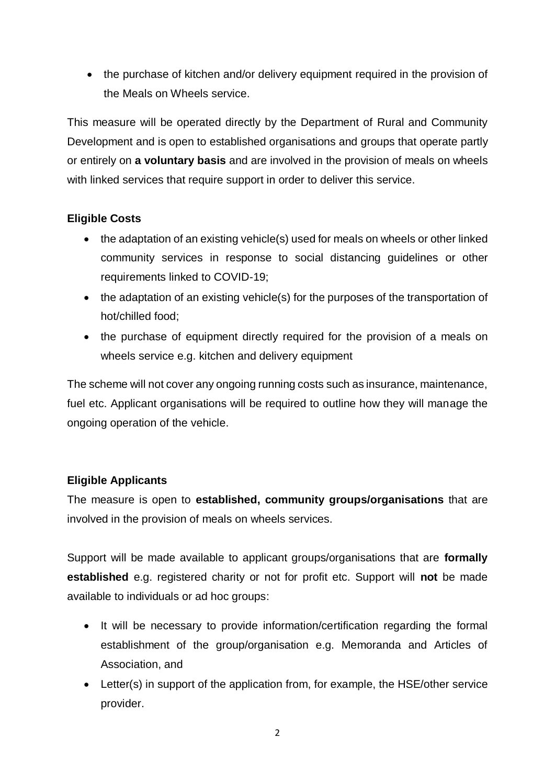• the purchase of kitchen and/or delivery equipment required in the provision of the Meals on Wheels service.

This measure will be operated directly by the Department of Rural and Community Development and is open to established organisations and groups that operate partly or entirely on **a voluntary basis** and are involved in the provision of meals on wheels with linked services that require support in order to deliver this service.

### **Eligible Costs**

- the adaptation of an existing vehicle(s) used for meals on wheels or other linked community services in response to social distancing guidelines or other requirements linked to COVID-19;
- the adaptation of an existing vehicle(s) for the purposes of the transportation of hot/chilled food;
- the purchase of equipment directly required for the provision of a meals on wheels service e.g. kitchen and delivery equipment

The scheme will not cover any ongoing running costs such as insurance, maintenance, fuel etc. Applicant organisations will be required to outline how they will manage the ongoing operation of the vehicle.

### **Eligible Applicants**

The measure is open to **established, community groups/organisations** that are involved in the provision of meals on wheels services.

Support will be made available to applicant groups/organisations that are **formally established** e.g. registered charity or not for profit etc. Support will **not** be made available to individuals or ad hoc groups:

- It will be necessary to provide information/certification regarding the formal establishment of the group/organisation e.g. Memoranda and Articles of Association, and
- Letter(s) in support of the application from, for example, the HSE/other service provider.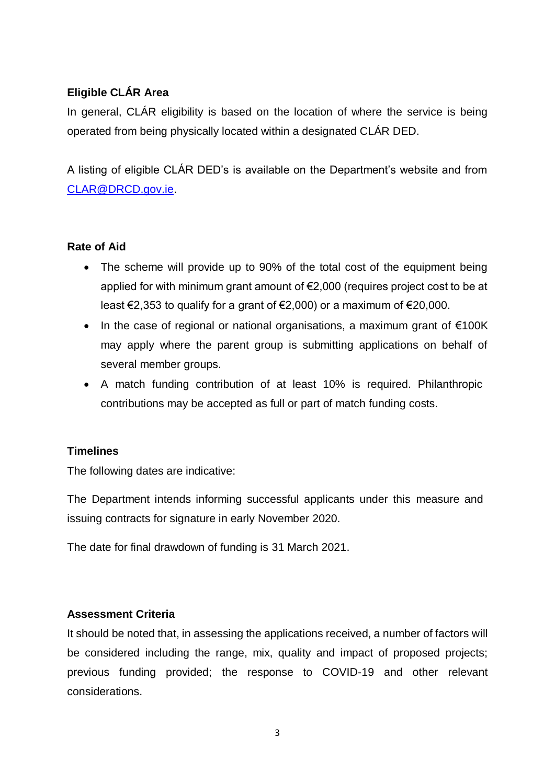### **Eligible CLÁR Area**

In general, CLÁR eligibility is based on the location of where the service is being operated from being physically located within a designated CLÁR DED.

A listing of eligible CLÁR DED's is available on the Department's website and from [CLAR@DRCD.gov.ie.](mailto:CLAR@DRCD.gov.ie)

#### **Rate of Aid**

- The scheme will provide up to 90% of the total cost of the equipment being applied for with minimum grant amount of €2,000 (requires project cost to be at least €2,353 to qualify for a grant of €2,000) or a maximum of €20,000.
- In the case of regional or national organisations, a maximum grant of €100K may apply where the parent group is submitting applications on behalf of several member groups.
- A match funding contribution of at least 10% is required. Philanthropic contributions may be accepted as full or part of match funding costs.

### **Timelines**

The following dates are indicative:

The Department intends informing successful applicants under this measure and issuing contracts for signature in early November 2020.

The date for final drawdown of funding is 31 March 2021.

#### **Assessment Criteria**

It should be noted that, in assessing the applications received, a number of factors will be considered including the range, mix, quality and impact of proposed projects; previous funding provided; the response to COVID-19 and other relevant considerations.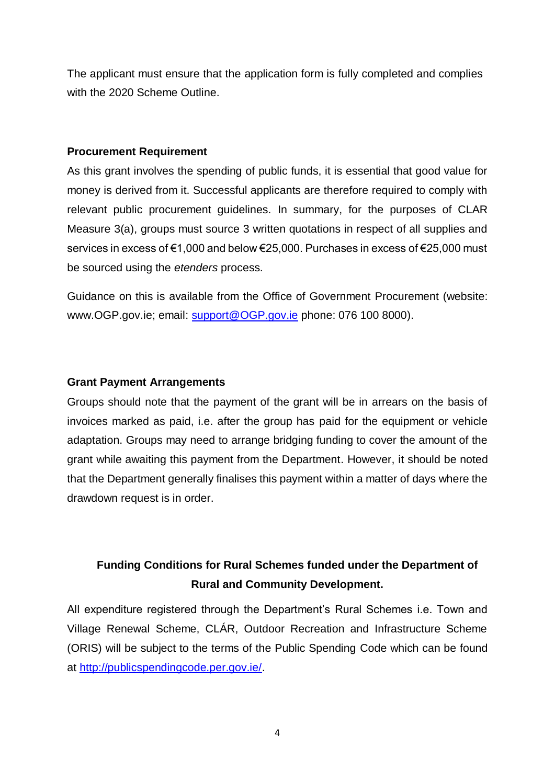The applicant must ensure that the application form is fully completed and complies with the 2020 Scheme Outline.

#### **Procurement Requirement**

As this grant involves the spending of public funds, it is essential that good value for money is derived from it. Successful applicants are therefore required to comply with relevant public procurement guidelines. In summary, for the purposes of CLAR Measure 3(a), groups must source 3 written quotations in respect of all supplies and services in excess of €1,000 and below €25,000. Purchases in excess of €25,000 must be sourced using the *etenders* process.

Guidance on this is available from the Office of Government Procurement (website: www.OGP.gov.ie; email: [support@OGP.gov.ie](mailto:support@OGP.gov.ie) phone: 076 100 8000).

#### **Grant Payment Arrangements**

Groups should note that the payment of the grant will be in arrears on the basis of invoices marked as paid, i.e. after the group has paid for the equipment or vehicle adaptation. Groups may need to arrange bridging funding to cover the amount of the grant while awaiting this payment from the Department. However, it should be noted that the Department generally finalises this payment within a matter of days where the drawdown request is in order.

# **Funding Conditions for Rural Schemes funded under the Department of Rural and Community Development.**

All expenditure registered through the Department's Rural Schemes i.e. Town and Village Renewal Scheme, CLÁR, Outdoor Recreation and Infrastructure Scheme (ORIS) will be subject to the terms of the Public Spending Code which can be found at [http://publicspendingcode.per.gov.ie/.](http://publicspendingcode.per.gov.ie/)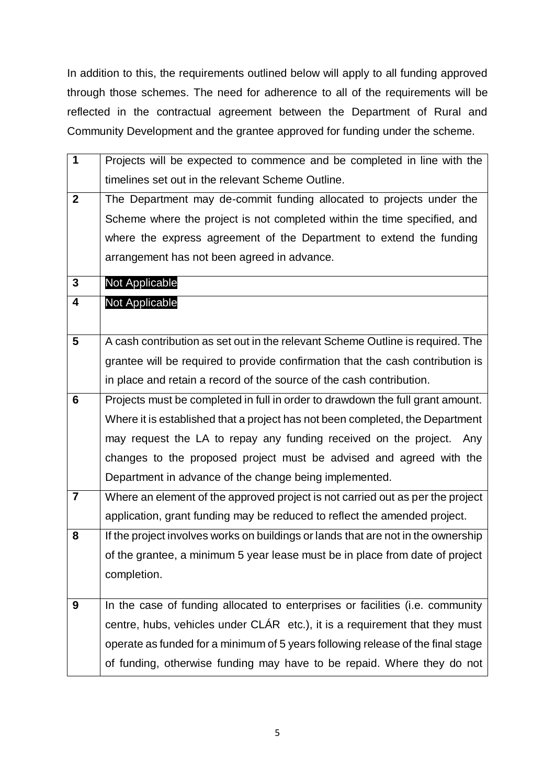In addition to this, the requirements outlined below will apply to all funding approved through those schemes. The need for adherence to all of the requirements will be reflected in the contractual agreement between the Department of Rural and Community Development and the grantee approved for funding under the scheme.

| 1               | Projects will be expected to commence and be completed in line with the           |
|-----------------|-----------------------------------------------------------------------------------|
|                 | timelines set out in the relevant Scheme Outline.                                 |
| $\mathbf{2}$    | The Department may de-commit funding allocated to projects under the              |
|                 | Scheme where the project is not completed within the time specified, and          |
|                 | where the express agreement of the Department to extend the funding               |
|                 | arrangement has not been agreed in advance.                                       |
| 3               | Not Applicable                                                                    |
| 4               | <b>Not Applicable</b>                                                             |
|                 |                                                                                   |
| $5\phantom{.0}$ | A cash contribution as set out in the relevant Scheme Outline is required. The    |
|                 | grantee will be required to provide confirmation that the cash contribution is    |
|                 | in place and retain a record of the source of the cash contribution.              |
| $6\phantom{1}$  | Projects must be completed in full in order to drawdown the full grant amount.    |
|                 | Where it is established that a project has not been completed, the Department     |
|                 | may request the LA to repay any funding received on the project.<br>Any           |
|                 | changes to the proposed project must be advised and agreed with the               |
|                 | Department in advance of the change being implemented.                            |
| $\overline{7}$  | Where an element of the approved project is not carried out as per the project    |
|                 | application, grant funding may be reduced to reflect the amended project.         |
| 8               | If the project involves works on buildings or lands that are not in the ownership |
|                 | of the grantee, a minimum 5 year lease must be in place from date of project      |
|                 | completion.                                                                       |
|                 |                                                                                   |
| 9               | In the case of funding allocated to enterprises or facilities (i.e. community     |
|                 | centre, hubs, vehicles under CLÁR etc.), it is a requirement that they must       |
|                 | operate as funded for a minimum of 5 years following release of the final stage   |
|                 | of funding, otherwise funding may have to be repaid. Where they do not            |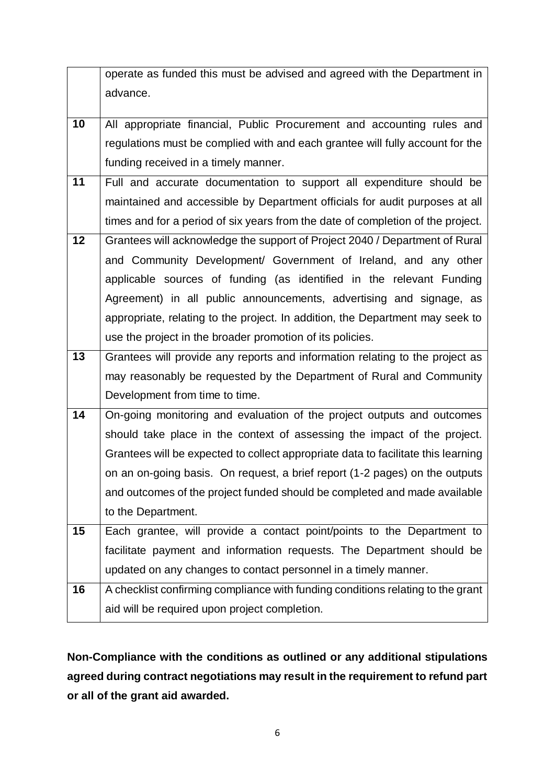|    | operate as funded this must be advised and agreed with the Department in          |
|----|-----------------------------------------------------------------------------------|
|    |                                                                                   |
|    | advance.                                                                          |
| 10 | All appropriate financial, Public Procurement and accounting rules and            |
|    |                                                                                   |
|    | regulations must be complied with and each grantee will fully account for the     |
|    | funding received in a timely manner.                                              |
| 11 | Full and accurate documentation to support all expenditure should be              |
|    | maintained and accessible by Department officials for audit purposes at all       |
|    | times and for a period of six years from the date of completion of the project.   |
| 12 | Grantees will acknowledge the support of Project 2040 / Department of Rural       |
|    | and Community Development/ Government of Ireland, and any other                   |
|    | applicable sources of funding (as identified in the relevant Funding              |
|    | Agreement) in all public announcements, advertising and signage, as               |
|    | appropriate, relating to the project. In addition, the Department may seek to     |
|    | use the project in the broader promotion of its policies.                         |
| 13 | Grantees will provide any reports and information relating to the project as      |
|    | may reasonably be requested by the Department of Rural and Community              |
|    |                                                                                   |
|    | Development from time to time.                                                    |
| 14 | On-going monitoring and evaluation of the project outputs and outcomes            |
|    | should take place in the context of assessing the impact of the project.          |
|    | Grantees will be expected to collect appropriate data to facilitate this learning |
|    | on an on-going basis. On request, a brief report (1-2 pages) on the outputs       |
|    | and outcomes of the project funded should be completed and made available         |
|    | to the Department.                                                                |
| 15 | Each grantee, will provide a contact point/points to the Department to            |
|    | facilitate payment and information requests. The Department should be             |
|    | updated on any changes to contact personnel in a timely manner.                   |
| 16 | A checklist confirming compliance with funding conditions relating to the grant   |
|    | aid will be required upon project completion.                                     |

**Non-Compliance with the conditions as outlined or any additional stipulations agreed during contract negotiations may result in the requirement to refund part or all of the grant aid awarded.**